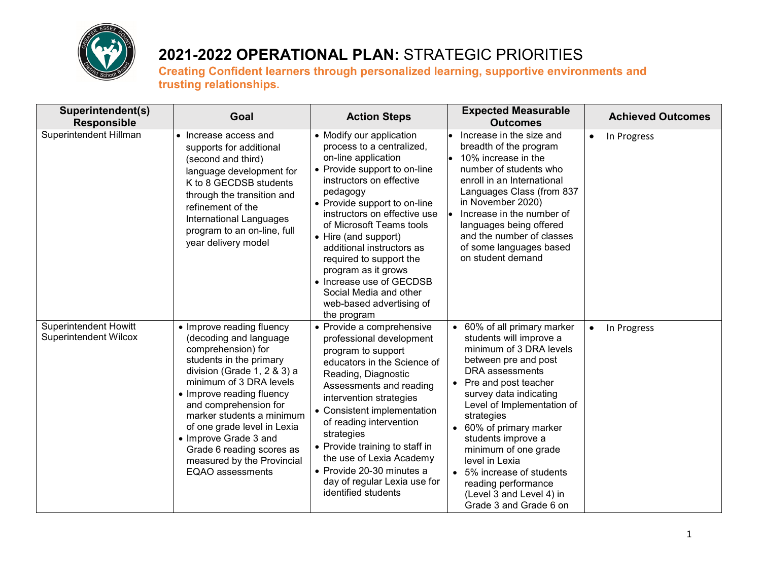

| Superintendent(s)<br><b>Responsible</b>                      | Goal                                                                                                                                                                                                                                                                                                                                                                                            | <b>Action Steps</b>                                                                                                                                                                                                                                                                                                                                                                                                                                      | <b>Expected Measurable</b><br><b>Outcomes</b>                                                                                                                                                                                                                                                                                                                                                                             | <b>Achieved Outcomes</b> |
|--------------------------------------------------------------|-------------------------------------------------------------------------------------------------------------------------------------------------------------------------------------------------------------------------------------------------------------------------------------------------------------------------------------------------------------------------------------------------|----------------------------------------------------------------------------------------------------------------------------------------------------------------------------------------------------------------------------------------------------------------------------------------------------------------------------------------------------------------------------------------------------------------------------------------------------------|---------------------------------------------------------------------------------------------------------------------------------------------------------------------------------------------------------------------------------------------------------------------------------------------------------------------------------------------------------------------------------------------------------------------------|--------------------------|
| Superintendent Hillman                                       | • Increase access and<br>supports for additional<br>(second and third)<br>language development for<br>K to 8 GECDSB students<br>through the transition and<br>refinement of the<br>International Languages<br>program to an on-line, full<br>year delivery model                                                                                                                                | • Modify our application<br>process to a centralized,<br>on-line application<br>• Provide support to on-line<br>instructors on effective<br>pedagogy<br>• Provide support to on-line<br>instructors on effective use<br>of Microsoft Teams tools<br>• Hire (and support)<br>additional instructors as<br>required to support the<br>program as it grows<br>• Increase use of GECDSB<br>Social Media and other<br>web-based advertising of<br>the program | Increase in the size and<br>breadth of the program<br>10% increase in the<br>le.<br>number of students who<br>enroll in an International<br>Languages Class (from 837<br>in November 2020)<br>Increase in the number of<br>languages being offered<br>and the number of classes<br>of some languages based<br>on student demand                                                                                           | In Progress<br>$\bullet$ |
| <b>Superintendent Howitt</b><br><b>Superintendent Wilcox</b> | • Improve reading fluency<br>(decoding and language<br>comprehension) for<br>students in the primary<br>division (Grade 1, 2 & 3) a<br>minimum of 3 DRA levels<br>• Improve reading fluency<br>and comprehension for<br>marker students a minimum<br>of one grade level in Lexia<br>• Improve Grade 3 and<br>Grade 6 reading scores as<br>measured by the Provincial<br><b>EQAO</b> assessments | • Provide a comprehensive<br>professional development<br>program to support<br>educators in the Science of<br>Reading, Diagnostic<br>Assessments and reading<br>intervention strategies<br>• Consistent implementation<br>of reading intervention<br>strategies<br>• Provide training to staff in<br>the use of Lexia Academy<br>• Provide 20-30 minutes a<br>day of regular Lexia use for<br>identified students                                        | 60% of all primary marker<br>students will improve a<br>minimum of 3 DRA levels<br>between pre and post<br>DRA assessments<br>Pre and post teacher<br>survey data indicating<br>Level of Implementation of<br>strategies<br>60% of primary marker<br>students improve a<br>minimum of one grade<br>level in Lexia<br>5% increase of students<br>reading performance<br>(Level 3 and Level 4) in<br>Grade 3 and Grade 6 on | In Progress<br>$\bullet$ |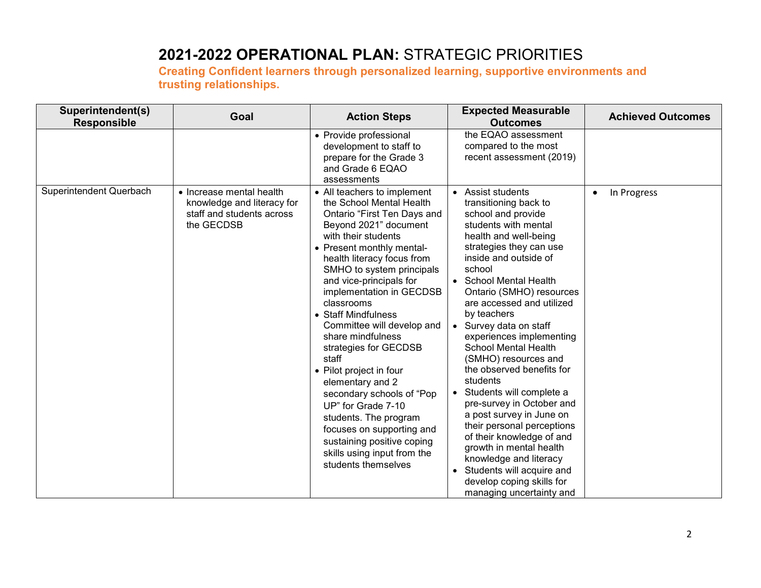| Superintendent(s)<br><b>Responsible</b> | Goal                                                                                              | <b>Action Steps</b>                                                                                                                                                                                                                                                                                                                                                                                                                                                                                                                                                                                                                                         | <b>Expected Measurable</b><br><b>Outcomes</b>                                                                                                                                                                                                                                                                                                                                                                                                                                                                                                                                                                                                                                                                                                              | <b>Achieved Outcomes</b> |
|-----------------------------------------|---------------------------------------------------------------------------------------------------|-------------------------------------------------------------------------------------------------------------------------------------------------------------------------------------------------------------------------------------------------------------------------------------------------------------------------------------------------------------------------------------------------------------------------------------------------------------------------------------------------------------------------------------------------------------------------------------------------------------------------------------------------------------|------------------------------------------------------------------------------------------------------------------------------------------------------------------------------------------------------------------------------------------------------------------------------------------------------------------------------------------------------------------------------------------------------------------------------------------------------------------------------------------------------------------------------------------------------------------------------------------------------------------------------------------------------------------------------------------------------------------------------------------------------------|--------------------------|
|                                         |                                                                                                   | • Provide professional<br>development to staff to<br>prepare for the Grade 3<br>and Grade 6 EQAO<br>assessments                                                                                                                                                                                                                                                                                                                                                                                                                                                                                                                                             | the EQAO assessment<br>compared to the most<br>recent assessment (2019)                                                                                                                                                                                                                                                                                                                                                                                                                                                                                                                                                                                                                                                                                    |                          |
| Superintendent Querbach                 | • Increase mental health<br>knowledge and literacy for<br>staff and students across<br>the GECDSB | • All teachers to implement<br>the School Mental Health<br>Ontario "First Ten Days and<br>Beyond 2021" document<br>with their students<br>• Present monthly mental-<br>health literacy focus from<br>SMHO to system principals<br>and vice-principals for<br>implementation in GECDSB<br>classrooms<br>• Staff Mindfulness<br>Committee will develop and<br>share mindfulness<br>strategies for GECDSB<br>staff<br>• Pilot project in four<br>elementary and 2<br>secondary schools of "Pop<br>UP" for Grade 7-10<br>students. The program<br>focuses on supporting and<br>sustaining positive coping<br>skills using input from the<br>students themselves | • Assist students<br>transitioning back to<br>school and provide<br>students with mental<br>health and well-being<br>strategies they can use<br>inside and outside of<br>school<br>• School Mental Health<br>Ontario (SMHO) resources<br>are accessed and utilized<br>by teachers<br>Survey data on staff<br>experiences implementing<br><b>School Mental Health</b><br>(SMHO) resources and<br>the observed benefits for<br>students<br>Students will complete a<br>$\bullet$<br>pre-survey in October and<br>a post survey in June on<br>their personal perceptions<br>of their knowledge of and<br>growth in mental health<br>knowledge and literacy<br>Students will acquire and<br>$\bullet$<br>develop coping skills for<br>managing uncertainty and | In Progress<br>$\bullet$ |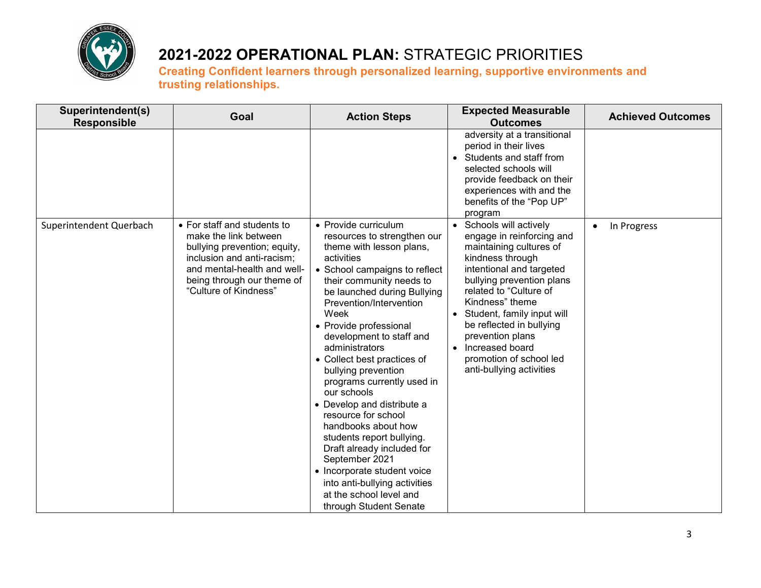

| Superintendent(s)<br><b>Responsible</b> | Goal                                                                                                                                                                                                     | <b>Action Steps</b>                                                                                                                                                                                                                                                                                                                                                                                                                                                                                                                                                                                                                                                                   | <b>Expected Measurable</b><br><b>Outcomes</b>                                                                                                                                                                                                                                                                                                                   | <b>Achieved Outcomes</b> |
|-----------------------------------------|----------------------------------------------------------------------------------------------------------------------------------------------------------------------------------------------------------|---------------------------------------------------------------------------------------------------------------------------------------------------------------------------------------------------------------------------------------------------------------------------------------------------------------------------------------------------------------------------------------------------------------------------------------------------------------------------------------------------------------------------------------------------------------------------------------------------------------------------------------------------------------------------------------|-----------------------------------------------------------------------------------------------------------------------------------------------------------------------------------------------------------------------------------------------------------------------------------------------------------------------------------------------------------------|--------------------------|
|                                         |                                                                                                                                                                                                          |                                                                                                                                                                                                                                                                                                                                                                                                                                                                                                                                                                                                                                                                                       | adversity at a transitional<br>period in their lives<br>Students and staff from<br>selected schools will<br>provide feedback on their<br>experiences with and the<br>benefits of the "Pop UP"<br>program                                                                                                                                                        |                          |
| Superintendent Querbach                 | • For staff and students to<br>make the link between<br>bullying prevention; equity,<br>inclusion and anti-racism;<br>and mental-health and well-<br>being through our theme of<br>"Culture of Kindness" | • Provide curriculum<br>resources to strengthen our<br>theme with lesson plans,<br>activities<br>• School campaigns to reflect<br>their community needs to<br>be launched during Bullying<br>Prevention/Intervention<br>Week<br>• Provide professional<br>development to staff and<br>administrators<br>• Collect best practices of<br>bullying prevention<br>programs currently used in<br>our schools<br>• Develop and distribute a<br>resource for school<br>handbooks about how<br>students report bullying.<br>Draft already included for<br>September 2021<br>• Incorporate student voice<br>into anti-bullying activities<br>at the school level and<br>through Student Senate | Schools will actively<br>engage in reinforcing and<br>maintaining cultures of<br>kindness through<br>intentional and targeted<br>bullying prevention plans<br>related to "Culture of<br>Kindness" theme<br>Student, family input will<br>be reflected in bullying<br>prevention plans<br>Increased board<br>promotion of school led<br>anti-bullying activities | In Progress              |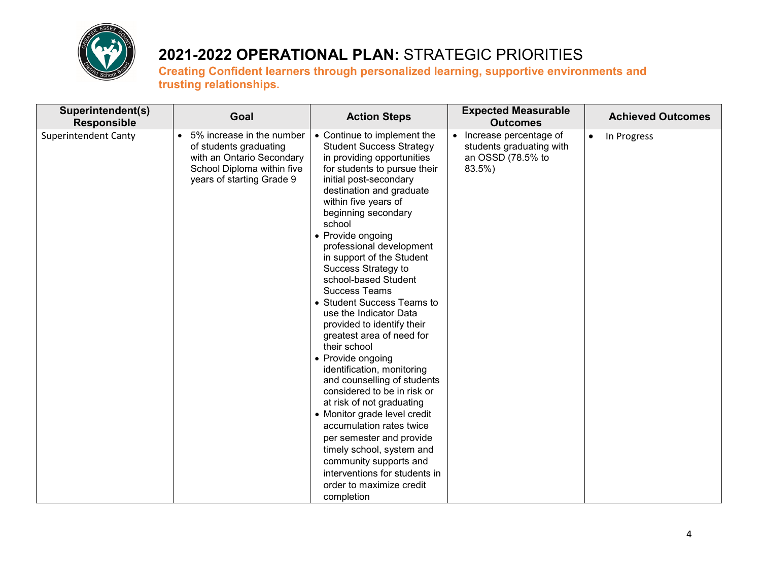

| Superintendent(s)<br><b>Responsible</b> | Goal                                                                                                                                          | <b>Action Steps</b>                                                                                                                                                                                                                                                                                                                                                                                                                                                                                                                                                                                                                                                                                                                                                                                                                                                                                         | <b>Expected Measurable</b><br><b>Outcomes</b>                                     | <b>Achieved Outcomes</b> |
|-----------------------------------------|-----------------------------------------------------------------------------------------------------------------------------------------------|-------------------------------------------------------------------------------------------------------------------------------------------------------------------------------------------------------------------------------------------------------------------------------------------------------------------------------------------------------------------------------------------------------------------------------------------------------------------------------------------------------------------------------------------------------------------------------------------------------------------------------------------------------------------------------------------------------------------------------------------------------------------------------------------------------------------------------------------------------------------------------------------------------------|-----------------------------------------------------------------------------------|--------------------------|
| <b>Superintendent Canty</b>             | • 5% increase in the number<br>of students graduating<br>with an Ontario Secondary<br>School Diploma within five<br>years of starting Grade 9 | • Continue to implement the<br><b>Student Success Strategy</b><br>in providing opportunities<br>for students to pursue their<br>initial post-secondary<br>destination and graduate<br>within five years of<br>beginning secondary<br>school<br>• Provide ongoing<br>professional development<br>in support of the Student<br>Success Strategy to<br>school-based Student<br><b>Success Teams</b><br>• Student Success Teams to<br>use the Indicator Data<br>provided to identify their<br>greatest area of need for<br>their school<br>• Provide ongoing<br>identification, monitoring<br>and counselling of students<br>considered to be in risk or<br>at risk of not graduating<br>• Monitor grade level credit<br>accumulation rates twice<br>per semester and provide<br>timely school, system and<br>community supports and<br>interventions for students in<br>order to maximize credit<br>completion | Increase percentage of<br>students graduating with<br>an OSSD (78.5% to<br>83.5%) | In Progress<br>$\bullet$ |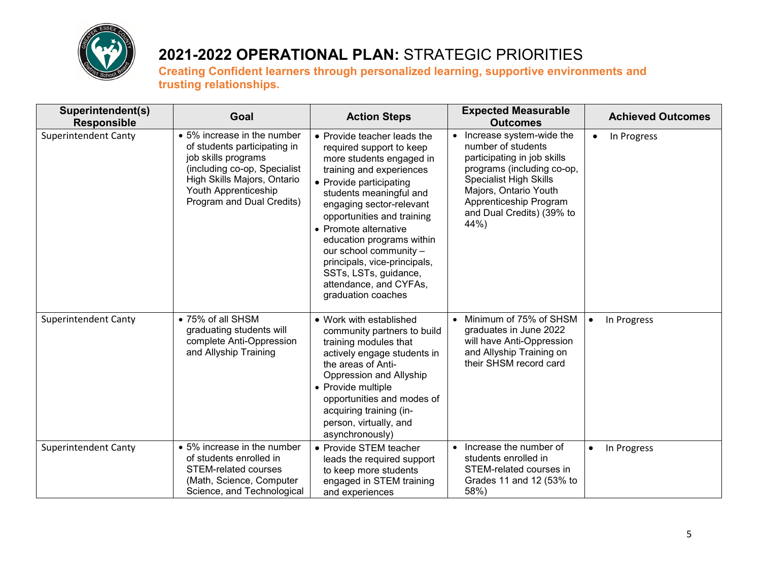

| Superintendent(s)<br><b>Responsible</b> | Goal                                                                                                                                                                                                   | <b>Action Steps</b>                                                                                                                                                                                                                                                                                                                                                                                                      | <b>Expected Measurable</b><br><b>Outcomes</b>                                                                                                                                                                                        | <b>Achieved Outcomes</b> |
|-----------------------------------------|--------------------------------------------------------------------------------------------------------------------------------------------------------------------------------------------------------|--------------------------------------------------------------------------------------------------------------------------------------------------------------------------------------------------------------------------------------------------------------------------------------------------------------------------------------------------------------------------------------------------------------------------|--------------------------------------------------------------------------------------------------------------------------------------------------------------------------------------------------------------------------------------|--------------------------|
| <b>Superintendent Canty</b>             | • 5% increase in the number<br>of students participating in<br>job skills programs<br>(including co-op, Specialist<br>High Skills Majors, Ontario<br>Youth Apprenticeship<br>Program and Dual Credits) | • Provide teacher leads the<br>required support to keep<br>more students engaged in<br>training and experiences<br>• Provide participating<br>students meaningful and<br>engaging sector-relevant<br>opportunities and training<br>• Promote alternative<br>education programs within<br>our school community -<br>principals, vice-principals,<br>SSTs, LSTs, guidance,<br>attendance, and CYFAs,<br>graduation coaches | Increase system-wide the<br>number of students<br>participating in job skills<br>programs (including co-op,<br><b>Specialist High Skills</b><br>Majors, Ontario Youth<br>Apprenticeship Program<br>and Dual Credits) (39% to<br>44%) | In Progress<br>$\bullet$ |
| <b>Superintendent Canty</b>             | • 75% of all SHSM<br>graduating students will<br>complete Anti-Oppression<br>and Allyship Training                                                                                                     | • Work with established<br>community partners to build<br>training modules that<br>actively engage students in<br>the areas of Anti-<br>Oppression and Allyship<br>• Provide multiple<br>opportunities and modes of<br>acquiring training (in-<br>person, virtually, and<br>asynchronously)                                                                                                                              | Minimum of 75% of SHSM<br>graduates in June 2022<br>will have Anti-Oppression<br>and Allyship Training on<br>their SHSM record card                                                                                                  | In Progress<br>$\bullet$ |
| <b>Superintendent Canty</b>             | • 5% increase in the number<br>of students enrolled in<br><b>STEM-related courses</b><br>(Math, Science, Computer<br>Science, and Technological                                                        | • Provide STEM teacher<br>leads the required support<br>to keep more students<br>engaged in STEM training<br>and experiences                                                                                                                                                                                                                                                                                             | Increase the number of<br>$\bullet$<br>students enrolled in<br>STEM-related courses in<br>Grades 11 and 12 (53% to<br>58%)                                                                                                           | In Progress<br>$\bullet$ |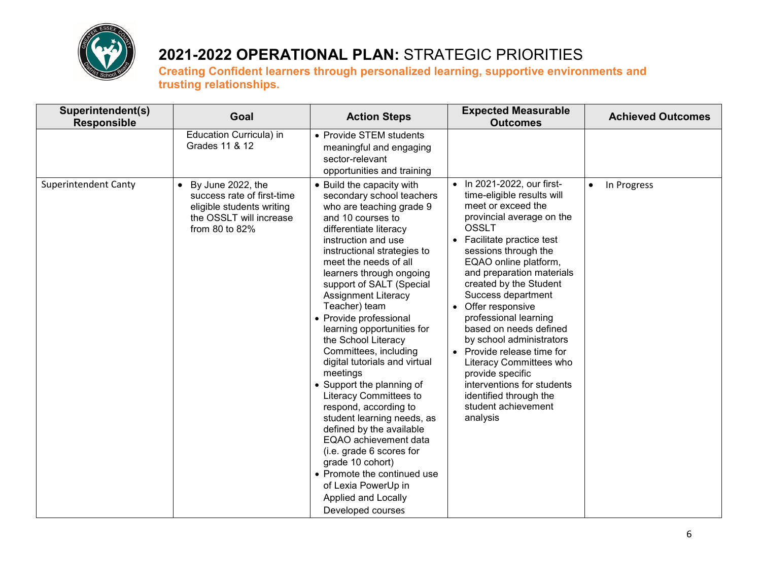

| Superintendent(s)<br><b>Responsible</b> | Goal                                                                                                                                   | <b>Action Steps</b>                                                                                                                                                                                                                                                                                                                                                                                                                                                                                                                                                                                                                                                                                                                                                                               | <b>Expected Measurable</b><br><b>Outcomes</b>                                                                                                                                                                                                                                                                                                                                                                                                                                                                                                                      | <b>Achieved Outcomes</b> |
|-----------------------------------------|----------------------------------------------------------------------------------------------------------------------------------------|---------------------------------------------------------------------------------------------------------------------------------------------------------------------------------------------------------------------------------------------------------------------------------------------------------------------------------------------------------------------------------------------------------------------------------------------------------------------------------------------------------------------------------------------------------------------------------------------------------------------------------------------------------------------------------------------------------------------------------------------------------------------------------------------------|--------------------------------------------------------------------------------------------------------------------------------------------------------------------------------------------------------------------------------------------------------------------------------------------------------------------------------------------------------------------------------------------------------------------------------------------------------------------------------------------------------------------------------------------------------------------|--------------------------|
|                                         | Education Curricula) in<br>Grades 11 & 12                                                                                              | • Provide STEM students<br>meaningful and engaging<br>sector-relevant<br>opportunities and training                                                                                                                                                                                                                                                                                                                                                                                                                                                                                                                                                                                                                                                                                               |                                                                                                                                                                                                                                                                                                                                                                                                                                                                                                                                                                    |                          |
| <b>Superintendent Canty</b>             | By June 2022, the<br>$\bullet$<br>success rate of first-time<br>eligible students writing<br>the OSSLT will increase<br>from 80 to 82% | • Build the capacity with<br>secondary school teachers<br>who are teaching grade 9<br>and 10 courses to<br>differentiate literacy<br>instruction and use<br>instructional strategies to<br>meet the needs of all<br>learners through ongoing<br>support of SALT (Special<br><b>Assignment Literacy</b><br>Teacher) team<br>• Provide professional<br>learning opportunities for<br>the School Literacy<br>Committees, including<br>digital tutorials and virtual<br>meetings<br>• Support the planning of<br>Literacy Committees to<br>respond, according to<br>student learning needs, as<br>defined by the available<br>EQAO achievement data<br>(i.e. grade 6 scores for<br>grade 10 cohort)<br>• Promote the continued use<br>of Lexia PowerUp in<br>Applied and Locally<br>Developed courses | • In 2021-2022, our first-<br>time-eligible results will<br>meet or exceed the<br>provincial average on the<br><b>OSSLT</b><br>Facilitate practice test<br>sessions through the<br>EQAO online platform,<br>and preparation materials<br>created by the Student<br>Success department<br>• Offer responsive<br>professional learning<br>based on needs defined<br>by school administrators<br>• Provide release time for<br>Literacy Committees who<br>provide specific<br>interventions for students<br>identified through the<br>student achievement<br>analysis | In Progress<br>$\bullet$ |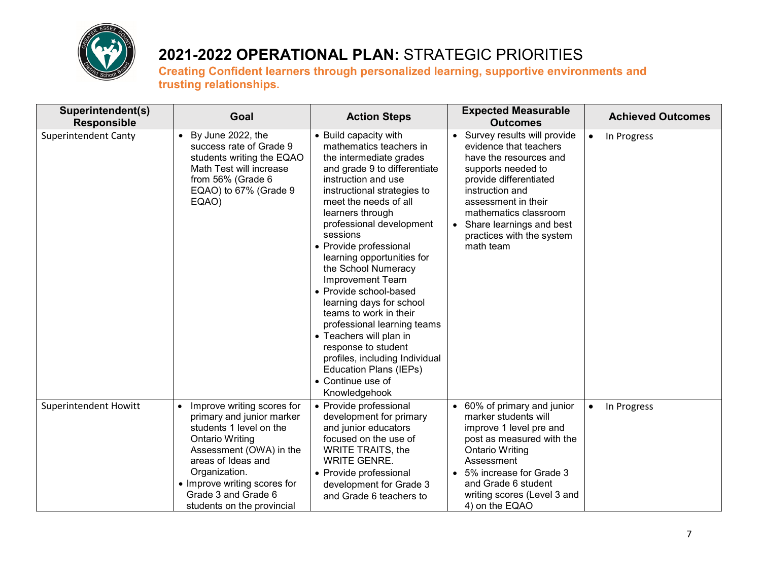

| Superintendent(s)<br><b>Responsible</b> | Goal                                                                                                                                                                                                                                                                             | <b>Action Steps</b>                                                                                                                                                                                                                                                                                                                                                                                                                                                                                                                                                                                                                 | <b>Expected Measurable</b><br><b>Outcomes</b>                                                                                                                                                                                                                            | <b>Achieved Outcomes</b> |
|-----------------------------------------|----------------------------------------------------------------------------------------------------------------------------------------------------------------------------------------------------------------------------------------------------------------------------------|-------------------------------------------------------------------------------------------------------------------------------------------------------------------------------------------------------------------------------------------------------------------------------------------------------------------------------------------------------------------------------------------------------------------------------------------------------------------------------------------------------------------------------------------------------------------------------------------------------------------------------------|--------------------------------------------------------------------------------------------------------------------------------------------------------------------------------------------------------------------------------------------------------------------------|--------------------------|
| <b>Superintendent Canty</b>             | $\bullet$ By June 2022, the<br>success rate of Grade 9<br>students writing the EQAO<br>Math Test will increase<br>from 56% (Grade 6<br>EQAO) to 67% (Grade 9<br>EQAO)                                                                                                            | • Build capacity with<br>mathematics teachers in<br>the intermediate grades<br>and grade 9 to differentiate<br>instruction and use<br>instructional strategies to<br>meet the needs of all<br>learners through<br>professional development<br>sessions<br>• Provide professional<br>learning opportunities for<br>the School Numeracy<br>Improvement Team<br>• Provide school-based<br>learning days for school<br>teams to work in their<br>professional learning teams<br>• Teachers will plan in<br>response to student<br>profiles, including Individual<br><b>Education Plans (IEPs)</b><br>• Continue use of<br>Knowledgehook | Survey results will provide<br>evidence that teachers<br>have the resources and<br>supports needed to<br>provide differentiated<br>instruction and<br>assessment in their<br>mathematics classroom<br>Share learnings and best<br>practices with the system<br>math team | In Progress<br>$\bullet$ |
| Superintendent Howitt                   | Improve writing scores for<br>$\bullet$<br>primary and junior marker<br>students 1 level on the<br><b>Ontario Writing</b><br>Assessment (OWA) in the<br>areas of Ideas and<br>Organization.<br>• Improve writing scores for<br>Grade 3 and Grade 6<br>students on the provincial | • Provide professional<br>development for primary<br>and junior educators<br>focused on the use of<br><b>WRITE TRAITS, the</b><br><b>WRITE GENRE.</b><br>• Provide professional<br>development for Grade 3<br>and Grade 6 teachers to                                                                                                                                                                                                                                                                                                                                                                                               | 60% of primary and junior<br>marker students will<br>improve 1 level pre and<br>post as measured with the<br><b>Ontario Writing</b><br>Assessment<br>5% increase for Grade 3<br>and Grade 6 student<br>writing scores (Level 3 and<br>4) on the EQAO                     | In Progress<br>$\bullet$ |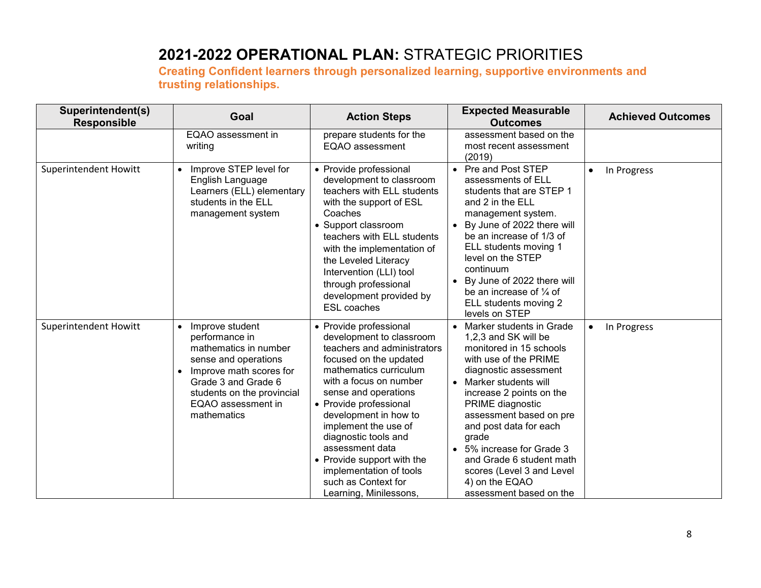| Superintendent(s)<br><b>Responsible</b> | Goal                                                                                                                                                                                                    | <b>Action Steps</b>                                                                                                                                                                                                                                                                                                                                                                                                     | <b>Expected Measurable</b><br><b>Outcomes</b>                                                                                                                                                                                                                                                                                                                                                            | <b>Achieved Outcomes</b> |
|-----------------------------------------|---------------------------------------------------------------------------------------------------------------------------------------------------------------------------------------------------------|-------------------------------------------------------------------------------------------------------------------------------------------------------------------------------------------------------------------------------------------------------------------------------------------------------------------------------------------------------------------------------------------------------------------------|----------------------------------------------------------------------------------------------------------------------------------------------------------------------------------------------------------------------------------------------------------------------------------------------------------------------------------------------------------------------------------------------------------|--------------------------|
|                                         | EQAO assessment in<br>writing                                                                                                                                                                           | prepare students for the<br>EQAO assessment                                                                                                                                                                                                                                                                                                                                                                             | assessment based on the<br>most recent assessment<br>(2019)                                                                                                                                                                                                                                                                                                                                              |                          |
| <b>Superintendent Howitt</b>            | Improve STEP level for<br>English Language<br>Learners (ELL) elementary<br>students in the ELL<br>management system                                                                                     | • Provide professional<br>development to classroom<br>teachers with ELL students<br>with the support of ESL<br>Coaches<br>• Support classroom<br>teachers with ELL students<br>with the implementation of<br>the Leveled Literacy<br>Intervention (LLI) tool<br>through professional<br>development provided by<br><b>ESL</b> coaches                                                                                   | • Pre and Post STEP<br>assessments of ELL<br>students that are STEP 1<br>and 2 in the ELL<br>management system.<br>By June of 2022 there will<br>be an increase of 1/3 of<br>ELL students moving 1<br>level on the STEP<br>continuum<br>By June of 2022 there will<br>be an increase of $\frac{1}{4}$ of<br>ELL students moving 2<br>levels on STEP                                                      | In Progress<br>$\bullet$ |
| Superintendent Howitt                   | Improve student<br>performance in<br>mathematics in number<br>sense and operations<br>Improve math scores for<br>Grade 3 and Grade 6<br>students on the provincial<br>EQAO assessment in<br>mathematics | • Provide professional<br>development to classroom<br>teachers and administrators<br>focused on the updated<br>mathematics curriculum<br>with a focus on number<br>sense and operations<br>• Provide professional<br>development in how to<br>implement the use of<br>diagnostic tools and<br>assessment data<br>• Provide support with the<br>implementation of tools<br>such as Context for<br>Learning, Minilessons, | Marker students in Grade<br>1,2,3 and SK will be<br>monitored in 15 schools<br>with use of the PRIME<br>diagnostic assessment<br>• Marker students will<br>increase 2 points on the<br>PRIME diagnostic<br>assessment based on pre<br>and post data for each<br>grade<br>• 5% increase for Grade 3<br>and Grade 6 student math<br>scores (Level 3 and Level<br>4) on the EQAO<br>assessment based on the | In Progress<br>$\bullet$ |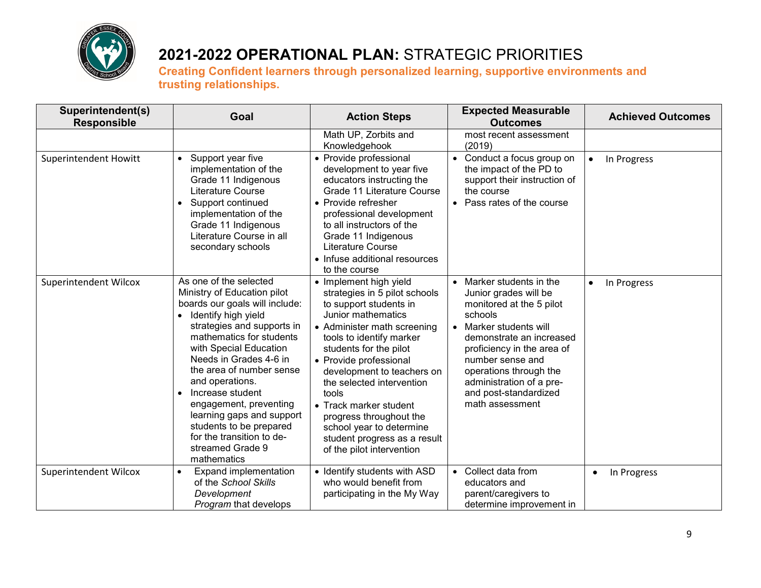

| Superintendent(s)<br><b>Responsible</b> | Goal                                                                                                                                                                                                                                                                                                                                                                                                                                                           | <b>Action Steps</b>                                                                                                                                                                                                                                                                                                                                                                                                                      | <b>Expected Measurable</b><br><b>Outcomes</b>                                                                                                                                                                                                                                                               | <b>Achieved Outcomes</b> |
|-----------------------------------------|----------------------------------------------------------------------------------------------------------------------------------------------------------------------------------------------------------------------------------------------------------------------------------------------------------------------------------------------------------------------------------------------------------------------------------------------------------------|------------------------------------------------------------------------------------------------------------------------------------------------------------------------------------------------------------------------------------------------------------------------------------------------------------------------------------------------------------------------------------------------------------------------------------------|-------------------------------------------------------------------------------------------------------------------------------------------------------------------------------------------------------------------------------------------------------------------------------------------------------------|--------------------------|
|                                         |                                                                                                                                                                                                                                                                                                                                                                                                                                                                | Math UP, Zorbits and<br>Knowledgehook                                                                                                                                                                                                                                                                                                                                                                                                    | most recent assessment<br>(2019)                                                                                                                                                                                                                                                                            |                          |
| <b>Superintendent Howitt</b>            | Support year five<br>$\bullet$<br>implementation of the<br>Grade 11 Indigenous<br>Literature Course<br>Support continued<br>implementation of the<br>Grade 11 Indigenous<br>Literature Course in all<br>secondary schools                                                                                                                                                                                                                                      | • Provide professional<br>development to year five<br>educators instructing the<br>Grade 11 Literature Course<br>• Provide refresher<br>professional development<br>to all instructors of the<br>Grade 11 Indigenous<br>Literature Course<br>• Infuse additional resources<br>to the course                                                                                                                                              | Conduct a focus group on<br>$\bullet$<br>the impact of the PD to<br>support their instruction of<br>the course<br>Pass rates of the course                                                                                                                                                                  | In Progress<br>$\bullet$ |
| Superintendent Wilcox                   | As one of the selected<br>Ministry of Education pilot<br>boards our goals will include:<br>Identify high yield<br>$\bullet$<br>strategies and supports in<br>mathematics for students<br>with Special Education<br>Needs in Grades 4-6 in<br>the area of number sense<br>and operations.<br>Increase student<br>engagement, preventing<br>learning gaps and support<br>students to be prepared<br>for the transition to de-<br>streamed Grade 9<br>mathematics | • Implement high yield<br>strategies in 5 pilot schools<br>to support students in<br>Junior mathematics<br>• Administer math screening<br>tools to identify marker<br>students for the pilot<br>• Provide professional<br>development to teachers on<br>the selected intervention<br>tools<br>• Track marker student<br>progress throughout the<br>school year to determine<br>student progress as a result<br>of the pilot intervention | Marker students in the<br>Junior grades will be<br>monitored at the 5 pilot<br>schools<br>Marker students will<br>$\bullet$<br>demonstrate an increased<br>proficiency in the area of<br>number sense and<br>operations through the<br>administration of a pre-<br>and post-standardized<br>math assessment | In Progress<br>$\bullet$ |
| Superintendent Wilcox                   | Expand implementation<br>$\bullet$<br>of the School Skills<br>Development<br>Program that develops                                                                                                                                                                                                                                                                                                                                                             | • Identify students with ASD<br>who would benefit from<br>participating in the My Way                                                                                                                                                                                                                                                                                                                                                    | Collect data from<br>$\bullet$<br>educators and<br>parent/caregivers to<br>determine improvement in                                                                                                                                                                                                         | In Progress<br>$\bullet$ |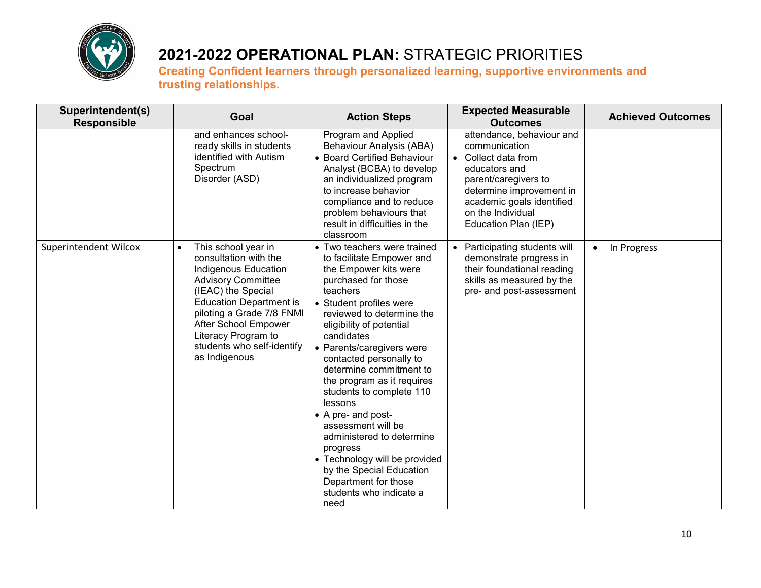

| Superintendent(s)<br><b>Responsible</b> | Goal                                                                                                                                                                                                                                                                                              | <b>Action Steps</b>                                                                                                                                                                                                                                                                                                                                                                                                                                                                                                                                                                         | <b>Expected Measurable</b><br><b>Outcomes</b>                                                                                                                                                                  | <b>Achieved Outcomes</b> |
|-----------------------------------------|---------------------------------------------------------------------------------------------------------------------------------------------------------------------------------------------------------------------------------------------------------------------------------------------------|---------------------------------------------------------------------------------------------------------------------------------------------------------------------------------------------------------------------------------------------------------------------------------------------------------------------------------------------------------------------------------------------------------------------------------------------------------------------------------------------------------------------------------------------------------------------------------------------|----------------------------------------------------------------------------------------------------------------------------------------------------------------------------------------------------------------|--------------------------|
|                                         | and enhances school-<br>ready skills in students<br>identified with Autism<br>Spectrum<br>Disorder (ASD)                                                                                                                                                                                          | Program and Applied<br>Behaviour Analysis (ABA)<br>• Board Certified Behaviour<br>Analyst (BCBA) to develop<br>an individualized program<br>to increase behavior<br>compliance and to reduce<br>problem behaviours that<br>result in difficulties in the<br>classroom                                                                                                                                                                                                                                                                                                                       | attendance, behaviour and<br>communication<br>Collect data from<br>educators and<br>parent/caregivers to<br>determine improvement in<br>academic goals identified<br>on the Individual<br>Education Plan (IEP) |                          |
| Superintendent Wilcox                   | This school year in<br>$\bullet$<br>consultation with the<br>Indigenous Education<br><b>Advisory Committee</b><br>(IEAC) the Special<br><b>Education Department is</b><br>piloting a Grade 7/8 FNMI<br>After School Empower<br>Literacy Program to<br>students who self-identify<br>as Indigenous | • Two teachers were trained<br>to facilitate Empower and<br>the Empower kits were<br>purchased for those<br>teachers<br>• Student profiles were<br>reviewed to determine the<br>eligibility of potential<br>candidates<br>• Parents/caregivers were<br>contacted personally to<br>determine commitment to<br>the program as it requires<br>students to complete 110<br>lessons<br>• A pre- and post-<br>assessment will be<br>administered to determine<br>progress<br>• Technology will be provided<br>by the Special Education<br>Department for those<br>students who indicate a<br>need | Participating students will<br>demonstrate progress in<br>their foundational reading<br>skills as measured by the<br>pre- and post-assessment                                                                  | In Progress<br>$\bullet$ |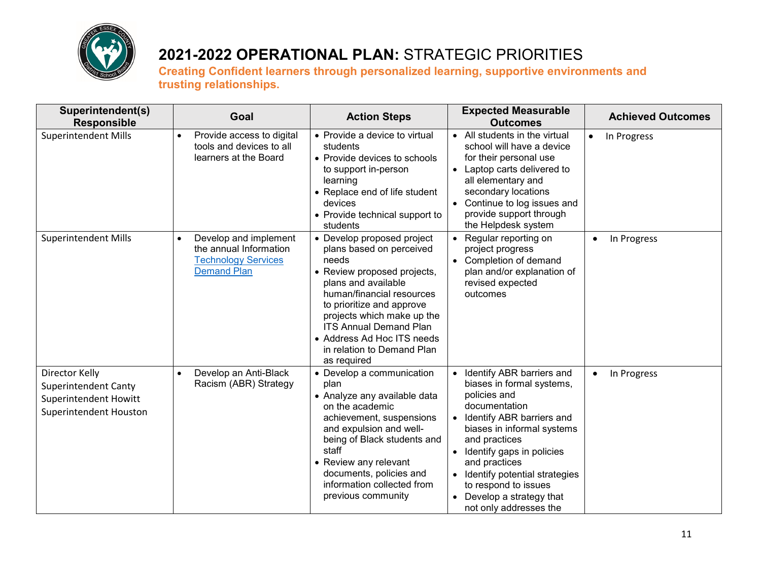

| Superintendent(s)<br><b>Responsible</b>                                                          | Goal                                                                                                             | <b>Action Steps</b>                                                                                                                                                                                                                                                                                                       | <b>Expected Measurable</b><br><b>Outcomes</b>                                                                                                                                                                                                                                                                                   | <b>Achieved Outcomes</b> |
|--------------------------------------------------------------------------------------------------|------------------------------------------------------------------------------------------------------------------|---------------------------------------------------------------------------------------------------------------------------------------------------------------------------------------------------------------------------------------------------------------------------------------------------------------------------|---------------------------------------------------------------------------------------------------------------------------------------------------------------------------------------------------------------------------------------------------------------------------------------------------------------------------------|--------------------------|
| <b>Superintendent Mills</b>                                                                      | Provide access to digital<br>tools and devices to all<br>learners at the Board                                   | • Provide a device to virtual<br>students<br>• Provide devices to schools<br>to support in-person<br>learning<br>• Replace end of life student<br>devices<br>• Provide technical support to<br>students                                                                                                                   | All students in the virtual<br>school will have a device<br>for their personal use<br>Laptop carts delivered to<br>all elementary and<br>secondary locations<br>Continue to log issues and<br>provide support through<br>the Helpdesk system                                                                                    | In Progress<br>$\bullet$ |
| <b>Superintendent Mills</b>                                                                      | Develop and implement<br>$\bullet$<br>the annual Information<br><b>Technology Services</b><br><b>Demand Plan</b> | • Develop proposed project<br>plans based on perceived<br>needs<br>• Review proposed projects,<br>plans and available<br>human/financial resources<br>to prioritize and approve<br>projects which make up the<br><b>ITS Annual Demand Plan</b><br>• Address Ad Hoc ITS needs<br>in relation to Demand Plan<br>as required | Regular reporting on<br>project progress<br>Completion of demand<br>plan and/or explanation of<br>revised expected<br>outcomes                                                                                                                                                                                                  | In Progress<br>$\bullet$ |
| Director Kelly<br><b>Superintendent Canty</b><br>Superintendent Howitt<br>Superintendent Houston | Develop an Anti-Black<br>Racism (ABR) Strategy                                                                   | • Develop a communication<br>plan<br>• Analyze any available data<br>on the academic<br>achievement, suspensions<br>and expulsion and well-<br>being of Black students and<br>staff<br>• Review any relevant<br>documents, policies and<br>information collected from<br>previous community                               | Identify ABR barriers and<br>biases in formal systems,<br>policies and<br>documentation<br>Identify ABR barriers and<br>biases in informal systems<br>and practices<br>Identify gaps in policies<br>and practices<br>Identify potential strategies<br>to respond to issues<br>Develop a strategy that<br>not only addresses the | In Progress<br>$\bullet$ |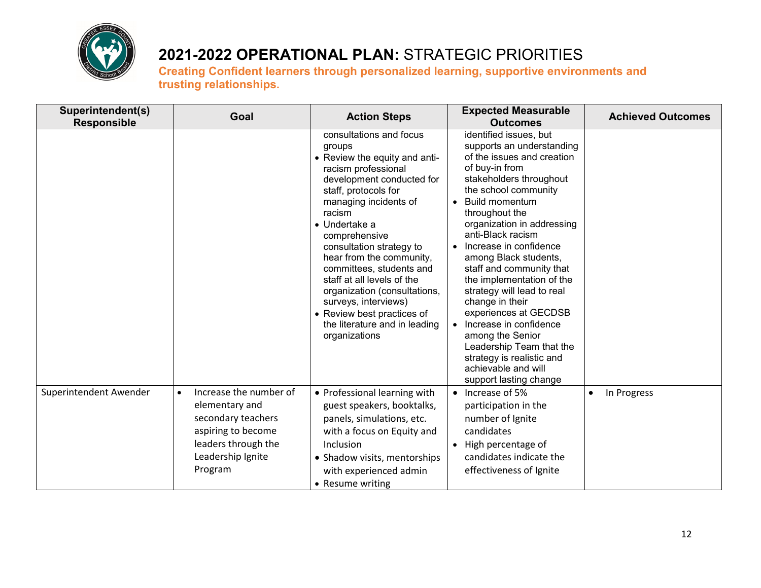

| Superintendent(s)<br><b>Responsible</b> | Goal                                                                                                                                                     | <b>Action Steps</b>                                                                                                                                                                                                                                                                                                                                                                                                                                                                   | <b>Expected Measurable</b><br><b>Outcomes</b>                                                                                                                                                                                                                                                                                                                                                                                                                                                                                                                                                      | <b>Achieved Outcomes</b> |
|-----------------------------------------|----------------------------------------------------------------------------------------------------------------------------------------------------------|---------------------------------------------------------------------------------------------------------------------------------------------------------------------------------------------------------------------------------------------------------------------------------------------------------------------------------------------------------------------------------------------------------------------------------------------------------------------------------------|----------------------------------------------------------------------------------------------------------------------------------------------------------------------------------------------------------------------------------------------------------------------------------------------------------------------------------------------------------------------------------------------------------------------------------------------------------------------------------------------------------------------------------------------------------------------------------------------------|--------------------------|
|                                         |                                                                                                                                                          | consultations and focus<br>groups<br>• Review the equity and anti-<br>racism professional<br>development conducted for<br>staff, protocols for<br>managing incidents of<br>racism<br>$\bullet$ Undertake a<br>comprehensive<br>consultation strategy to<br>hear from the community,<br>committees, students and<br>staff at all levels of the<br>organization (consultations,<br>surveys, interviews)<br>• Review best practices of<br>the literature and in leading<br>organizations | identified issues, but<br>supports an understanding<br>of the issues and creation<br>of buy-in from<br>stakeholders throughout<br>the school community<br><b>Build momentum</b><br>throughout the<br>organization in addressing<br>anti-Black racism<br>Increase in confidence<br>among Black students,<br>staff and community that<br>the implementation of the<br>strategy will lead to real<br>change in their<br>experiences at GECDSB<br>Increase in confidence<br>among the Senior<br>Leadership Team that the<br>strategy is realistic and<br>achievable and will<br>support lasting change |                          |
| Superintendent Awender                  | Increase the number of<br>$\bullet$<br>elementary and<br>secondary teachers<br>aspiring to become<br>leaders through the<br>Leadership Ignite<br>Program | • Professional learning with<br>guest speakers, booktalks,<br>panels, simulations, etc.<br>with a focus on Equity and<br>Inclusion<br>• Shadow visits, mentorships<br>with experienced admin<br>• Resume writing                                                                                                                                                                                                                                                                      | Increase of 5%<br>$\bullet$<br>participation in the<br>number of Ignite<br>candidates<br>High percentage of<br>candidates indicate the<br>effectiveness of Ignite                                                                                                                                                                                                                                                                                                                                                                                                                                  | In Progress<br>$\bullet$ |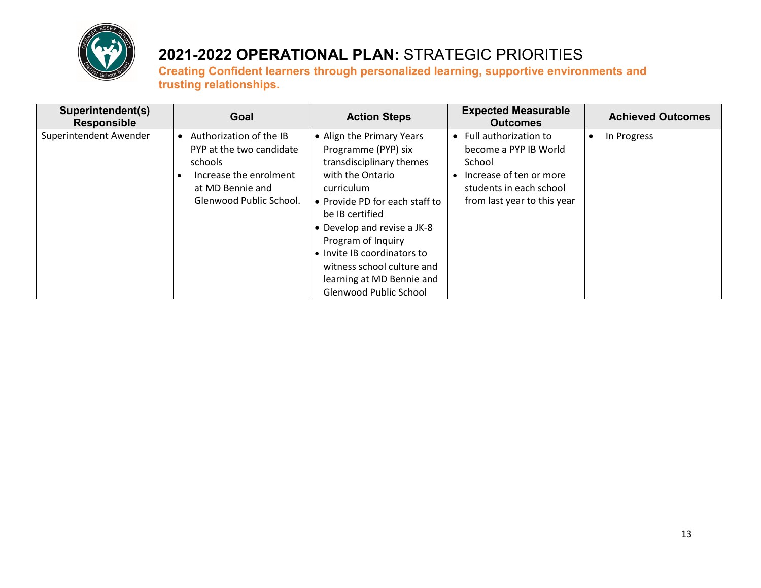

| Superintendent(s)<br><b>Responsible</b> | Goal                                                                                                                                      | <b>Action Steps</b>                                                                                                                                                                                                                                                                                                                          | <b>Expected Measurable</b><br><b>Outcomes</b>                                                                                                 | <b>Achieved Outcomes</b> |
|-----------------------------------------|-------------------------------------------------------------------------------------------------------------------------------------------|----------------------------------------------------------------------------------------------------------------------------------------------------------------------------------------------------------------------------------------------------------------------------------------------------------------------------------------------|-----------------------------------------------------------------------------------------------------------------------------------------------|--------------------------|
| Superintendent Awender                  | • Authorization of the IB<br>PYP at the two candidate<br>schools<br>Increase the enrolment<br>at MD Bennie and<br>Glenwood Public School. | • Align the Primary Years<br>Programme (PYP) six<br>transdisciplinary themes<br>with the Ontario<br>curriculum<br>• Provide PD for each staff to<br>be IB certified<br>• Develop and revise a JK-8<br>Program of Inquiry<br>• Invite IB coordinators to<br>witness school culture and<br>learning at MD Bennie and<br>Glenwood Public School | Full authorization to<br>become a PYP IB World<br>School<br>Increase of ten or more<br>students in each school<br>from last year to this year | In Progress<br>$\bullet$ |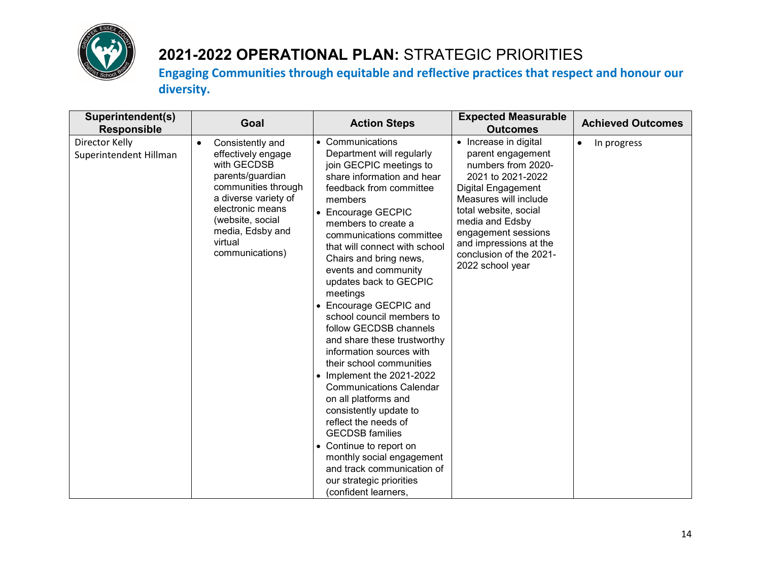

| Superintendent(s)<br><b>Responsible</b>  | Goal                                                                                                                                                                                                                            | <b>Action Steps</b>                                                                                                                                                                                                                                                                                                                                                                                                                                                                                                                                                                                                                                                                                                                                                                                                                         | <b>Expected Measurable</b><br><b>Outcomes</b>                                                                                                                                                                                                                                    | <b>Achieved Outcomes</b> |
|------------------------------------------|---------------------------------------------------------------------------------------------------------------------------------------------------------------------------------------------------------------------------------|---------------------------------------------------------------------------------------------------------------------------------------------------------------------------------------------------------------------------------------------------------------------------------------------------------------------------------------------------------------------------------------------------------------------------------------------------------------------------------------------------------------------------------------------------------------------------------------------------------------------------------------------------------------------------------------------------------------------------------------------------------------------------------------------------------------------------------------------|----------------------------------------------------------------------------------------------------------------------------------------------------------------------------------------------------------------------------------------------------------------------------------|--------------------------|
| Director Kelly<br>Superintendent Hillman | Consistently and<br>$\bullet$<br>effectively engage<br>with GECDSB<br>parents/guardian<br>communities through<br>a diverse variety of<br>electronic means<br>(website, social<br>media, Edsby and<br>virtual<br>communications) | • Communications<br>Department will regularly<br>join GECPIC meetings to<br>share information and hear<br>feedback from committee<br>members<br>• Encourage GECPIC<br>members to create a<br>communications committee<br>that will connect with school<br>Chairs and bring news,<br>events and community<br>updates back to GECPIC<br>meetings<br>• Encourage GECPIC and<br>school council members to<br>follow GECDSB channels<br>and share these trustworthy<br>information sources with<br>their school communities<br>$\bullet$ Implement the 2021-2022<br><b>Communications Calendar</b><br>on all platforms and<br>consistently update to<br>reflect the needs of<br><b>GECDSB</b> families<br>• Continue to report on<br>monthly social engagement<br>and track communication of<br>our strategic priorities<br>(confident learners, | • Increase in digital<br>parent engagement<br>numbers from 2020-<br>2021 to 2021-2022<br>Digital Engagement<br>Measures will include<br>total website, social<br>media and Edsby<br>engagement sessions<br>and impressions at the<br>conclusion of the 2021-<br>2022 school year | In progress<br>$\bullet$ |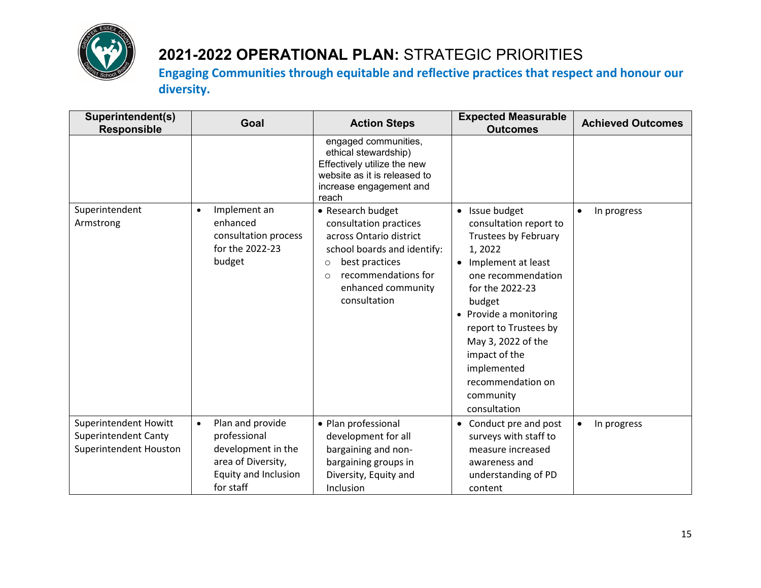

| Superintendent(s)<br><b>Responsible</b>                                               | Goal                                                                                                                           | <b>Action Steps</b>                                                                                                                                                                                         | <b>Expected Measurable</b><br><b>Outcomes</b>                                                                                                                                                                                                                                                                                      | <b>Achieved Outcomes</b> |
|---------------------------------------------------------------------------------------|--------------------------------------------------------------------------------------------------------------------------------|-------------------------------------------------------------------------------------------------------------------------------------------------------------------------------------------------------------|------------------------------------------------------------------------------------------------------------------------------------------------------------------------------------------------------------------------------------------------------------------------------------------------------------------------------------|--------------------------|
|                                                                                       |                                                                                                                                | engaged communities,<br>ethical stewardship)<br>Effectively utilize the new<br>website as it is released to<br>increase engagement and<br>reach                                                             |                                                                                                                                                                                                                                                                                                                                    |                          |
| Superintendent<br>Armstrong                                                           | Implement an<br>$\bullet$<br>enhanced<br>consultation process<br>for the 2022-23<br>budget                                     | • Research budget<br>consultation practices<br>across Ontario district<br>school boards and identify:<br>best practices<br>$\circ$<br>recommendations for<br>$\Omega$<br>enhanced community<br>consultation | • Issue budget<br>consultation report to<br><b>Trustees by February</b><br>1,2022<br>Implement at least<br>$\bullet$<br>one recommendation<br>for the 2022-23<br>budget<br>• Provide a monitoring<br>report to Trustees by<br>May 3, 2022 of the<br>impact of the<br>implemented<br>recommendation on<br>community<br>consultation | In progress<br>$\bullet$ |
| <b>Superintendent Howitt</b><br><b>Superintendent Canty</b><br>Superintendent Houston | Plan and provide<br>$\bullet$<br>professional<br>development in the<br>area of Diversity,<br>Equity and Inclusion<br>for staff | • Plan professional<br>development for all<br>bargaining and non-<br>bargaining groups in<br>Diversity, Equity and<br>Inclusion                                                                             | Conduct pre and post<br>$\bullet$<br>surveys with staff to<br>measure increased<br>awareness and<br>understanding of PD<br>content                                                                                                                                                                                                 | In progress<br>$\bullet$ |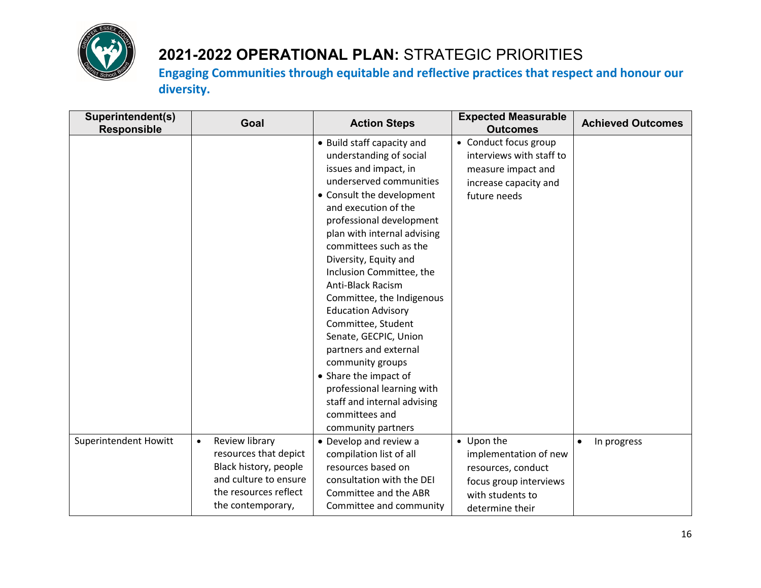

| Superintendent(s)<br><b>Responsible</b> | Goal                        | <b>Action Steps</b>         | <b>Expected Measurable</b><br><b>Outcomes</b> | <b>Achieved Outcomes</b> |
|-----------------------------------------|-----------------------------|-----------------------------|-----------------------------------------------|--------------------------|
|                                         |                             | • Build staff capacity and  | • Conduct focus group                         |                          |
|                                         |                             | understanding of social     | interviews with staff to                      |                          |
|                                         |                             | issues and impact, in       | measure impact and                            |                          |
|                                         |                             | underserved communities     | increase capacity and                         |                          |
|                                         |                             | • Consult the development   | future needs                                  |                          |
|                                         |                             | and execution of the        |                                               |                          |
|                                         |                             | professional development    |                                               |                          |
|                                         |                             | plan with internal advising |                                               |                          |
|                                         |                             | committees such as the      |                                               |                          |
|                                         |                             | Diversity, Equity and       |                                               |                          |
|                                         |                             | Inclusion Committee, the    |                                               |                          |
|                                         |                             | <b>Anti-Black Racism</b>    |                                               |                          |
|                                         |                             | Committee, the Indigenous   |                                               |                          |
|                                         |                             | <b>Education Advisory</b>   |                                               |                          |
|                                         |                             | Committee, Student          |                                               |                          |
|                                         |                             | Senate, GECPIC, Union       |                                               |                          |
|                                         |                             | partners and external       |                                               |                          |
|                                         |                             | community groups            |                                               |                          |
|                                         |                             | • Share the impact of       |                                               |                          |
|                                         |                             | professional learning with  |                                               |                          |
|                                         |                             | staff and internal advising |                                               |                          |
|                                         |                             | committees and              |                                               |                          |
|                                         |                             | community partners          |                                               |                          |
| <b>Superintendent Howitt</b>            | Review library<br>$\bullet$ | • Develop and review a      | • Upon the                                    | In progress<br>$\bullet$ |
|                                         | resources that depict       | compilation list of all     | implementation of new                         |                          |
|                                         | Black history, people       | resources based on          | resources, conduct                            |                          |
|                                         | and culture to ensure       | consultation with the DEI   | focus group interviews                        |                          |
|                                         | the resources reflect       | Committee and the ABR       | with students to                              |                          |
|                                         | the contemporary,           | Committee and community     | determine their                               |                          |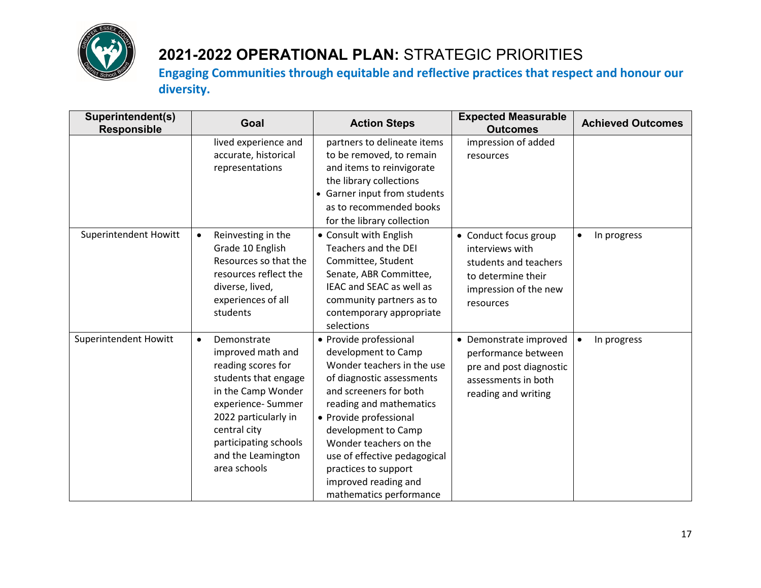

| Superintendent(s)<br><b>Responsible</b> | Goal                                                                                                                                                                                                                                          | <b>Action Steps</b>                                                                                                                                                                                                                                                                                                                                 | <b>Expected Measurable</b><br><b>Outcomes</b>                                                                                 | <b>Achieved Outcomes</b> |
|-----------------------------------------|-----------------------------------------------------------------------------------------------------------------------------------------------------------------------------------------------------------------------------------------------|-----------------------------------------------------------------------------------------------------------------------------------------------------------------------------------------------------------------------------------------------------------------------------------------------------------------------------------------------------|-------------------------------------------------------------------------------------------------------------------------------|--------------------------|
|                                         | lived experience and<br>accurate, historical<br>representations                                                                                                                                                                               | partners to delineate items<br>to be removed, to remain<br>and items to reinvigorate<br>the library collections<br>• Garner input from students<br>as to recommended books<br>for the library collection                                                                                                                                            | impression of added<br>resources                                                                                              |                          |
| <b>Superintendent Howitt</b>            | Reinvesting in the<br>$\bullet$<br>Grade 10 English<br>Resources so that the<br>resources reflect the<br>diverse, lived,<br>experiences of all<br>students                                                                                    | • Consult with English<br><b>Teachers and the DEI</b><br>Committee, Student<br>Senate, ABR Committee,<br>IEAC and SEAC as well as<br>community partners as to<br>contemporary appropriate<br>selections                                                                                                                                             | • Conduct focus group<br>interviews with<br>students and teachers<br>to determine their<br>impression of the new<br>resources | In progress<br>$\bullet$ |
| <b>Superintendent Howitt</b>            | Demonstrate<br>$\bullet$<br>improved math and<br>reading scores for<br>students that engage<br>in the Camp Wonder<br>experience-Summer<br>2022 particularly in<br>central city<br>participating schools<br>and the Leamington<br>area schools | • Provide professional<br>development to Camp<br>Wonder teachers in the use<br>of diagnostic assessments<br>and screeners for both<br>reading and mathematics<br>• Provide professional<br>development to Camp<br>Wonder teachers on the<br>use of effective pedagogical<br>practices to support<br>improved reading and<br>mathematics performance | • Demonstrate improved<br>performance between<br>pre and post diagnostic<br>assessments in both<br>reading and writing        | In progress<br>$\bullet$ |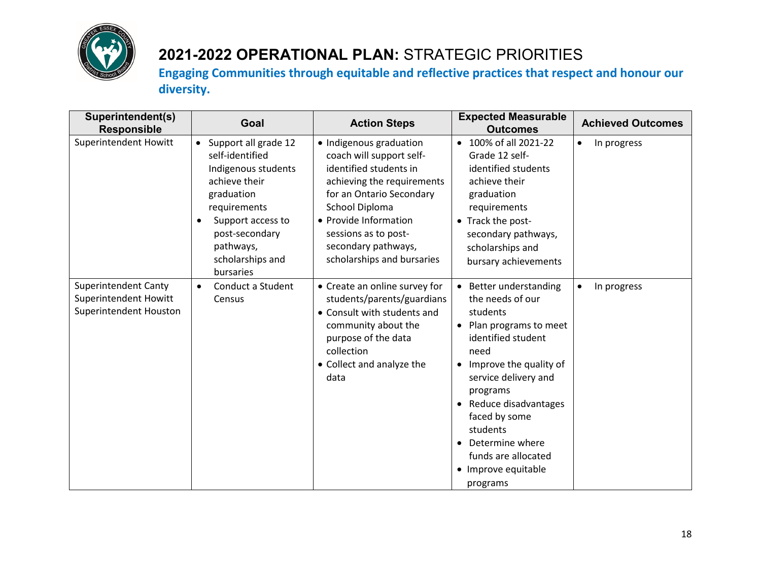

| Superintendent(s)<br><b>Responsible</b>                                               | Goal                                                                                                                                                                                                                         | <b>Action Steps</b>                                                                                                                                                                                                                                             | <b>Expected Measurable</b><br><b>Outcomes</b>                                                                                                                                                                                                                                                                                                        | <b>Achieved Outcomes</b> |
|---------------------------------------------------------------------------------------|------------------------------------------------------------------------------------------------------------------------------------------------------------------------------------------------------------------------------|-----------------------------------------------------------------------------------------------------------------------------------------------------------------------------------------------------------------------------------------------------------------|------------------------------------------------------------------------------------------------------------------------------------------------------------------------------------------------------------------------------------------------------------------------------------------------------------------------------------------------------|--------------------------|
| <b>Superintendent Howitt</b>                                                          | Support all grade 12<br>$\bullet$<br>self-identified<br>Indigenous students<br>achieve their<br>graduation<br>requirements<br>Support access to<br>$\bullet$<br>post-secondary<br>pathways,<br>scholarships and<br>bursaries | · Indigenous graduation<br>coach will support self-<br>identified students in<br>achieving the requirements<br>for an Ontario Secondary<br>School Diploma<br>• Provide Information<br>sessions as to post-<br>secondary pathways,<br>scholarships and bursaries | • 100% of all 2021-22<br>Grade 12 self-<br>identified students<br>achieve their<br>graduation<br>requirements<br>• Track the post-<br>secondary pathways,<br>scholarships and<br>bursary achievements                                                                                                                                                | In progress<br>٠         |
| <b>Superintendent Canty</b><br><b>Superintendent Howitt</b><br>Superintendent Houston | Conduct a Student<br>$\bullet$<br>Census                                                                                                                                                                                     | • Create an online survey for<br>students/parents/guardians<br>• Consult with students and<br>community about the<br>purpose of the data<br>collection<br>• Collect and analyze the<br>data                                                                     | • Better understanding<br>the needs of our<br>students<br>Plan programs to meet<br>$\bullet$<br>identified student<br>need<br>Improve the quality of<br>$\bullet$<br>service delivery and<br>programs<br>Reduce disadvantages<br>faced by some<br>students<br>Determine where<br>$\bullet$<br>funds are allocated<br>• Improve equitable<br>programs | In progress<br>$\bullet$ |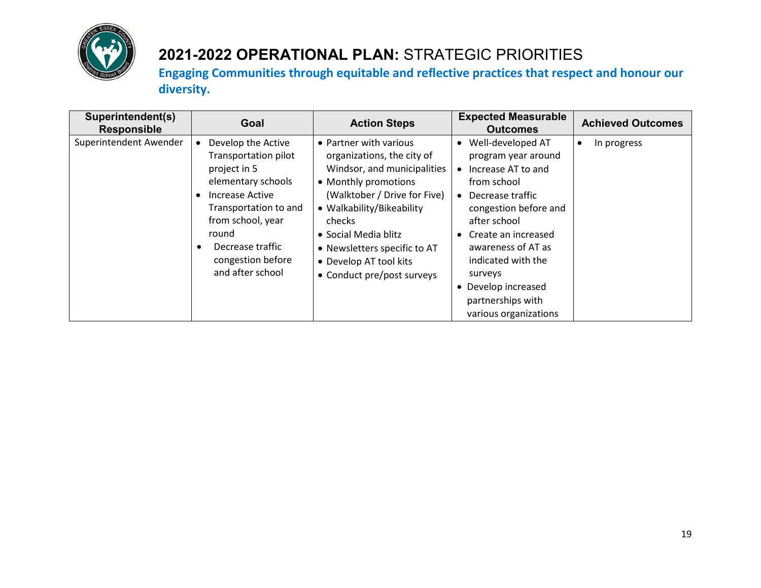

| Superintendent(s)<br><b>Responsible</b> | Goal                                                                                                                                                                                                                                      | <b>Action Steps</b>                                                                                                                                                                                                                                                                                | <b>Expected Measurable</b><br><b>Outcomes</b>                                                                                                                                                                                                                                                                                                   | <b>Achieved Outcomes</b> |
|-----------------------------------------|-------------------------------------------------------------------------------------------------------------------------------------------------------------------------------------------------------------------------------------------|----------------------------------------------------------------------------------------------------------------------------------------------------------------------------------------------------------------------------------------------------------------------------------------------------|-------------------------------------------------------------------------------------------------------------------------------------------------------------------------------------------------------------------------------------------------------------------------------------------------------------------------------------------------|--------------------------|
| Superintendent Awender                  | Develop the Active<br>Transportation pilot<br>project in 5<br>elementary schools<br>Increase Active<br>$\bullet$<br>Transportation to and<br>from school, year<br>round<br>Decrease traffic<br>٠<br>congestion before<br>and after school | • Partner with various<br>organizations, the city of<br>Windsor, and municipalities<br>• Monthly promotions<br>(Walktober / Drive for Five)<br>• Walkability/Bikeability<br>checks<br>• Social Media blitz<br>• Newsletters specific to AT<br>• Develop AT tool kits<br>• Conduct pre/post surveys | Well-developed AT<br>$\bullet$<br>program year around<br>Increase AT to and<br>from school<br>Decrease traffic<br>$\bullet$<br>congestion before and<br>after school<br>Create an increased<br>$\bullet$<br>awareness of AT as<br>indicated with the<br>surveys<br>Develop increased<br>$\bullet$<br>partnerships with<br>various organizations | In progress              |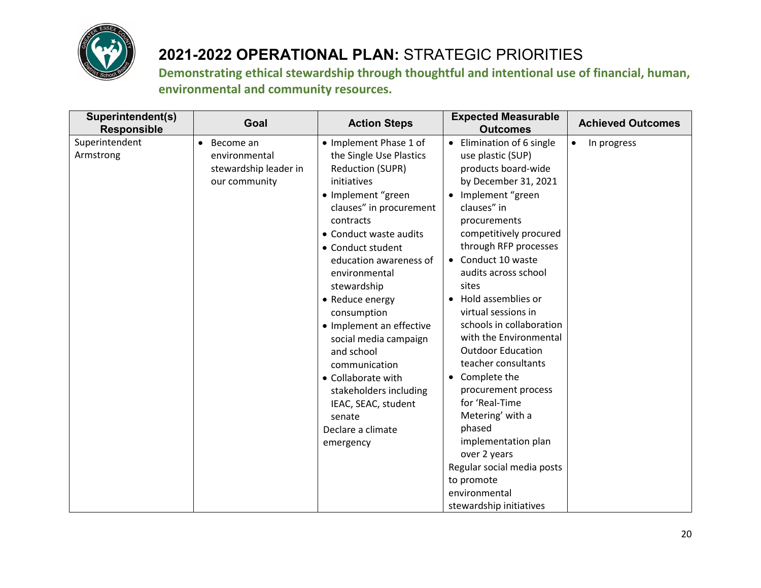

| Superintendent(s)<br><b>Responsible</b> | Goal                                                                              | <b>Action Steps</b>                                                                                                                                                                                                                                                                                                                                                                                                                                                                                         | <b>Expected Measurable</b><br><b>Outcomes</b>                                                                                                                                                                                                                                                                                                                                                                                                                                                                                                                                                                                                  | <b>Achieved Outcomes</b> |
|-----------------------------------------|-----------------------------------------------------------------------------------|-------------------------------------------------------------------------------------------------------------------------------------------------------------------------------------------------------------------------------------------------------------------------------------------------------------------------------------------------------------------------------------------------------------------------------------------------------------------------------------------------------------|------------------------------------------------------------------------------------------------------------------------------------------------------------------------------------------------------------------------------------------------------------------------------------------------------------------------------------------------------------------------------------------------------------------------------------------------------------------------------------------------------------------------------------------------------------------------------------------------------------------------------------------------|--------------------------|
| Superintendent<br>Armstrong             | Become an<br>$\bullet$<br>environmental<br>stewardship leader in<br>our community | • Implement Phase 1 of<br>the Single Use Plastics<br><b>Reduction (SUPR)</b><br>initiatives<br>• Implement "green<br>clauses" in procurement<br>contracts<br>• Conduct waste audits<br>• Conduct student<br>education awareness of<br>environmental<br>stewardship<br>• Reduce energy<br>consumption<br>• Implement an effective<br>social media campaign<br>and school<br>communication<br>• Collaborate with<br>stakeholders including<br>IEAC, SEAC, student<br>senate<br>Declare a climate<br>emergency | Elimination of 6 single<br>$\bullet$<br>use plastic (SUP)<br>products board-wide<br>by December 31, 2021<br>Implement "green<br>clauses" in<br>procurements<br>competitively procured<br>through RFP processes<br>Conduct 10 waste<br>$\bullet$<br>audits across school<br>sites<br>Hold assemblies or<br>virtual sessions in<br>schools in collaboration<br>with the Environmental<br><b>Outdoor Education</b><br>teacher consultants<br>Complete the<br>$\bullet$<br>procurement process<br>for 'Real-Time<br>Metering' with a<br>phased<br>implementation plan<br>over 2 years<br>Regular social media posts<br>to promote<br>environmental | In progress<br>$\bullet$ |
|                                         |                                                                                   |                                                                                                                                                                                                                                                                                                                                                                                                                                                                                                             | stewardship initiatives                                                                                                                                                                                                                                                                                                                                                                                                                                                                                                                                                                                                                        |                          |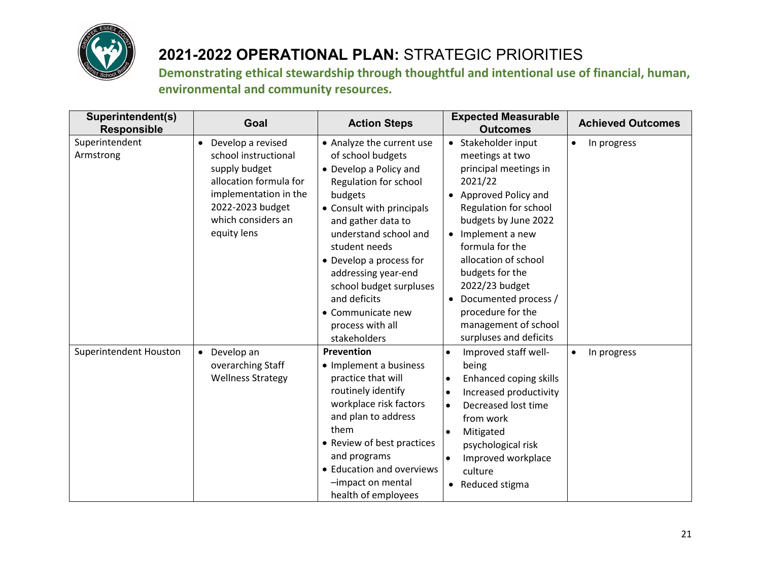

| Superintendent(s)<br><b>Responsible</b> | Goal                                                                                                                                                                                | <b>Action Steps</b>                                                                                                                                                                                                                                                                                                                                             | <b>Expected Measurable</b><br><b>Outcomes</b>                                                                                                                                                                                                                                                                                                           | <b>Achieved Outcomes</b> |
|-----------------------------------------|-------------------------------------------------------------------------------------------------------------------------------------------------------------------------------------|-----------------------------------------------------------------------------------------------------------------------------------------------------------------------------------------------------------------------------------------------------------------------------------------------------------------------------------------------------------------|---------------------------------------------------------------------------------------------------------------------------------------------------------------------------------------------------------------------------------------------------------------------------------------------------------------------------------------------------------|--------------------------|
| Superintendent<br>Armstrong             | Develop a revised<br>$\bullet$<br>school instructional<br>supply budget<br>allocation formula for<br>implementation in the<br>2022-2023 budget<br>which considers an<br>equity lens | • Analyze the current use<br>of school budgets<br>• Develop a Policy and<br>Regulation for school<br>budgets<br>• Consult with principals<br>and gather data to<br>understand school and<br>student needs<br>• Develop a process for<br>addressing year-end<br>school budget surpluses<br>and deficits<br>• Communicate new<br>process with all<br>stakeholders | Stakeholder input<br>٠<br>meetings at two<br>principal meetings in<br>2021/22<br>Approved Policy and<br>Regulation for school<br>budgets by June 2022<br>Implement a new<br>formula for the<br>allocation of school<br>budgets for the<br>2022/23 budget<br>Documented process /<br>procedure for the<br>management of school<br>surpluses and deficits | In progress<br>$\bullet$ |
| Superintendent Houston                  | Develop an<br>$\bullet$<br>overarching Staff<br><b>Wellness Strategy</b>                                                                                                            | Prevention<br>• Implement a business<br>practice that will<br>routinely identify<br>workplace risk factors<br>and plan to address<br>them<br>• Review of best practices<br>and programs<br>• Education and overviews<br>-impact on mental<br>health of employees                                                                                                | Improved staff well-<br>being<br>Enhanced coping skills<br>$\bullet$<br>Increased productivity<br>Decreased lost time<br>$\bullet$<br>from work<br>Mitigated<br>$\bullet$<br>psychological risk<br>Improved workplace<br>culture<br>Reduced stigma<br>$\bullet$                                                                                         | In progress<br>$\bullet$ |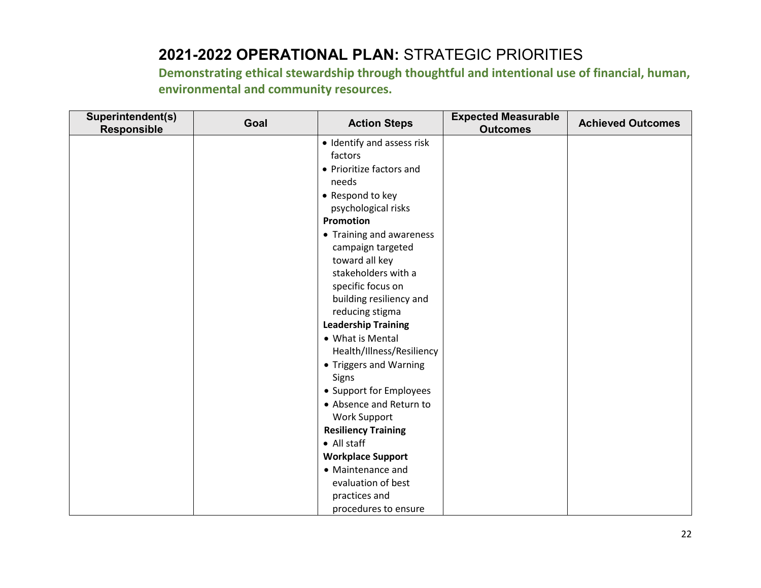| Superintendent(s)<br><b>Responsible</b> | Goal | <b>Action Steps</b>        | <b>Expected Measurable</b><br><b>Outcomes</b> | <b>Achieved Outcomes</b> |
|-----------------------------------------|------|----------------------------|-----------------------------------------------|--------------------------|
|                                         |      | • Identify and assess risk |                                               |                          |
|                                         |      | factors                    |                                               |                          |
|                                         |      | • Prioritize factors and   |                                               |                          |
|                                         |      | needs                      |                                               |                          |
|                                         |      | • Respond to key           |                                               |                          |
|                                         |      | psychological risks        |                                               |                          |
|                                         |      | Promotion                  |                                               |                          |
|                                         |      | • Training and awareness   |                                               |                          |
|                                         |      | campaign targeted          |                                               |                          |
|                                         |      | toward all key             |                                               |                          |
|                                         |      | stakeholders with a        |                                               |                          |
|                                         |      | specific focus on          |                                               |                          |
|                                         |      | building resiliency and    |                                               |                          |
|                                         |      | reducing stigma            |                                               |                          |
|                                         |      | <b>Leadership Training</b> |                                               |                          |
|                                         |      | • What is Mental           |                                               |                          |
|                                         |      | Health/Illness/Resiliency  |                                               |                          |
|                                         |      | • Triggers and Warning     |                                               |                          |
|                                         |      | Signs                      |                                               |                          |
|                                         |      | • Support for Employees    |                                               |                          |
|                                         |      | • Absence and Return to    |                                               |                          |
|                                         |      | <b>Work Support</b>        |                                               |                          |
|                                         |      | <b>Resiliency Training</b> |                                               |                          |
|                                         |      | • All staff                |                                               |                          |
|                                         |      | <b>Workplace Support</b>   |                                               |                          |
|                                         |      | • Maintenance and          |                                               |                          |
|                                         |      | evaluation of best         |                                               |                          |
|                                         |      | practices and              |                                               |                          |
|                                         |      | procedures to ensure       |                                               |                          |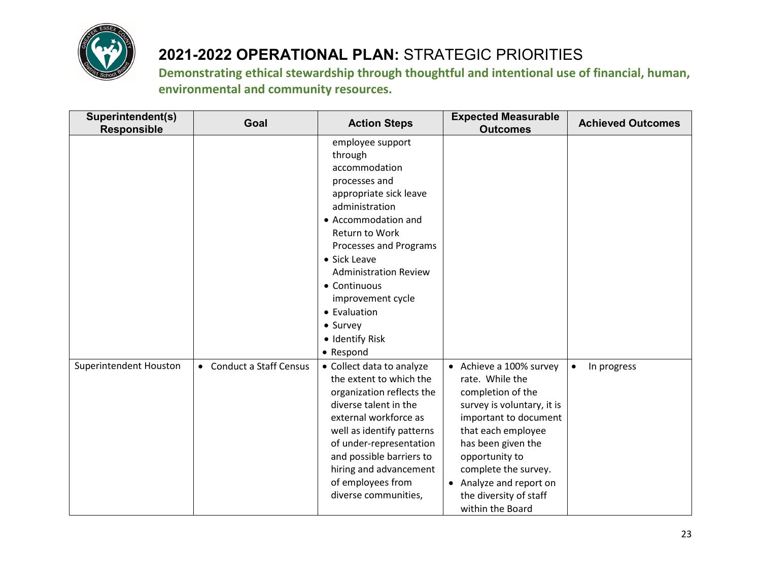

| Superintendent(s)<br><b>Responsible</b> | Goal                     | <b>Action Steps</b>                                                                                                                                                                                                                                                                                                           | <b>Expected Measurable</b><br><b>Outcomes</b>                                                                                                                                                                                                                                         | <b>Achieved Outcomes</b> |
|-----------------------------------------|--------------------------|-------------------------------------------------------------------------------------------------------------------------------------------------------------------------------------------------------------------------------------------------------------------------------------------------------------------------------|---------------------------------------------------------------------------------------------------------------------------------------------------------------------------------------------------------------------------------------------------------------------------------------|--------------------------|
|                                         |                          | employee support<br>through<br>accommodation<br>processes and<br>appropriate sick leave<br>administration<br>• Accommodation and<br>Return to Work<br>Processes and Programs<br>• Sick Leave<br><b>Administration Review</b><br>• Continuous<br>improvement cycle<br>• Evaluation<br>• Survey<br>• Identify Risk<br>• Respond |                                                                                                                                                                                                                                                                                       |                          |
| Superintendent Houston                  | • Conduct a Staff Census | • Collect data to analyze<br>the extent to which the<br>organization reflects the<br>diverse talent in the<br>external workforce as<br>well as identify patterns<br>of under-representation<br>and possible barriers to<br>hiring and advancement<br>of employees from<br>diverse communities,                                | • Achieve a 100% survey<br>rate. While the<br>completion of the<br>survey is voluntary, it is<br>important to document<br>that each employee<br>has been given the<br>opportunity to<br>complete the survey.<br>• Analyze and report on<br>the diversity of staff<br>within the Board | In progress<br>$\bullet$ |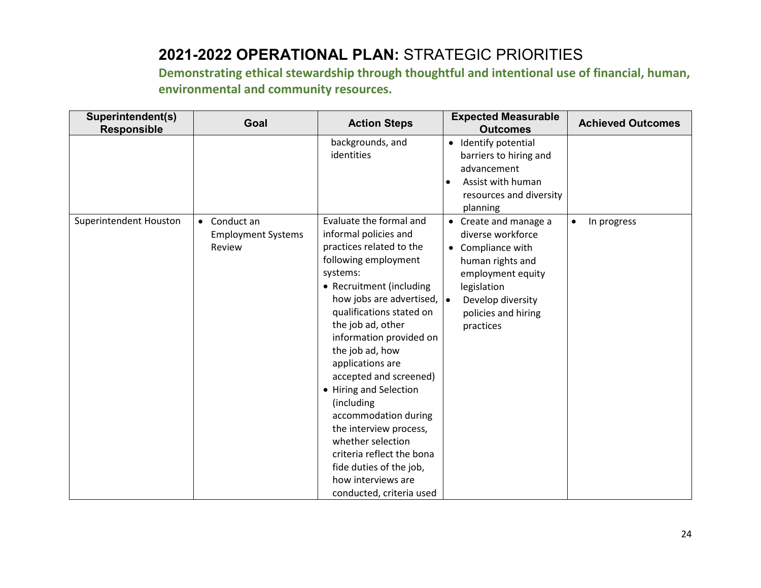| Superintendent(s)<br><b>Responsible</b> | Goal                                                | <b>Action Steps</b>                                                                                                                                                                                                                                                                                                                                                                                                                                                                                                                               | <b>Expected Measurable</b><br><b>Outcomes</b>                                                                                                                                    | <b>Achieved Outcomes</b> |
|-----------------------------------------|-----------------------------------------------------|---------------------------------------------------------------------------------------------------------------------------------------------------------------------------------------------------------------------------------------------------------------------------------------------------------------------------------------------------------------------------------------------------------------------------------------------------------------------------------------------------------------------------------------------------|----------------------------------------------------------------------------------------------------------------------------------------------------------------------------------|--------------------------|
|                                         |                                                     | backgrounds, and<br>identities                                                                                                                                                                                                                                                                                                                                                                                                                                                                                                                    | • Identify potential<br>barriers to hiring and<br>advancement<br>Assist with human<br>$\bullet$<br>resources and diversity<br>planning                                           |                          |
| Superintendent Houston                  | • Conduct an<br><b>Employment Systems</b><br>Review | Evaluate the formal and<br>informal policies and<br>practices related to the<br>following employment<br>systems:<br>• Recruitment (including<br>how jobs are advertised,  .<br>qualifications stated on<br>the job ad, other<br>information provided on<br>the job ad, how<br>applications are<br>accepted and screened)<br>• Hiring and Selection<br>(including<br>accommodation during<br>the interview process,<br>whether selection<br>criteria reflect the bona<br>fide duties of the job,<br>how interviews are<br>conducted, criteria used | • Create and manage a<br>diverse workforce<br>• Compliance with<br>human rights and<br>employment equity<br>legislation<br>Develop diversity<br>policies and hiring<br>practices | In progress<br>$\bullet$ |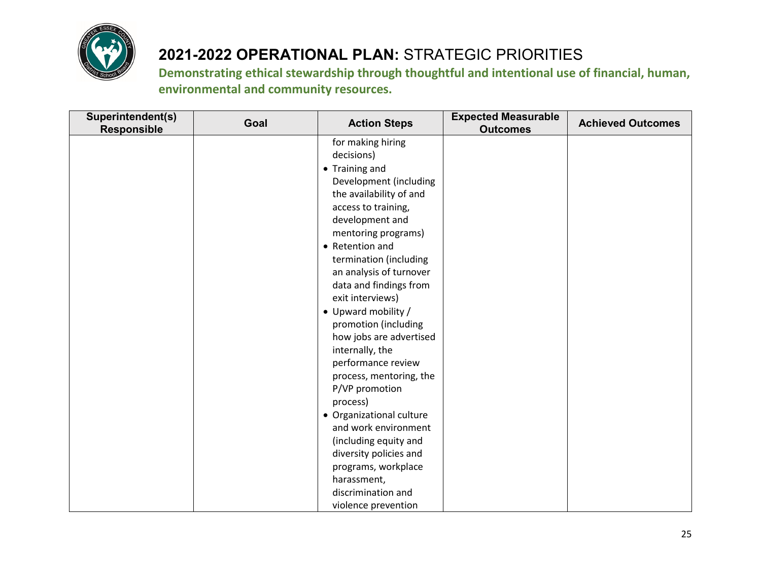

| Superintendent(s)<br><b>Responsible</b> | Goal | <b>Action Steps</b>      | <b>Expected Measurable</b><br><b>Outcomes</b> | <b>Achieved Outcomes</b> |
|-----------------------------------------|------|--------------------------|-----------------------------------------------|--------------------------|
|                                         |      | for making hiring        |                                               |                          |
|                                         |      | decisions)               |                                               |                          |
|                                         |      | • Training and           |                                               |                          |
|                                         |      | Development (including   |                                               |                          |
|                                         |      | the availability of and  |                                               |                          |
|                                         |      | access to training,      |                                               |                          |
|                                         |      | development and          |                                               |                          |
|                                         |      | mentoring programs)      |                                               |                          |
|                                         |      | • Retention and          |                                               |                          |
|                                         |      | termination (including   |                                               |                          |
|                                         |      | an analysis of turnover  |                                               |                          |
|                                         |      | data and findings from   |                                               |                          |
|                                         |      | exit interviews)         |                                               |                          |
|                                         |      | • Upward mobility /      |                                               |                          |
|                                         |      | promotion (including     |                                               |                          |
|                                         |      | how jobs are advertised  |                                               |                          |
|                                         |      | internally, the          |                                               |                          |
|                                         |      | performance review       |                                               |                          |
|                                         |      | process, mentoring, the  |                                               |                          |
|                                         |      | P/VP promotion           |                                               |                          |
|                                         |      | process)                 |                                               |                          |
|                                         |      | • Organizational culture |                                               |                          |
|                                         |      | and work environment     |                                               |                          |
|                                         |      | (including equity and    |                                               |                          |
|                                         |      | diversity policies and   |                                               |                          |
|                                         |      | programs, workplace      |                                               |                          |
|                                         |      | harassment,              |                                               |                          |
|                                         |      | discrimination and       |                                               |                          |
|                                         |      | violence prevention      |                                               |                          |